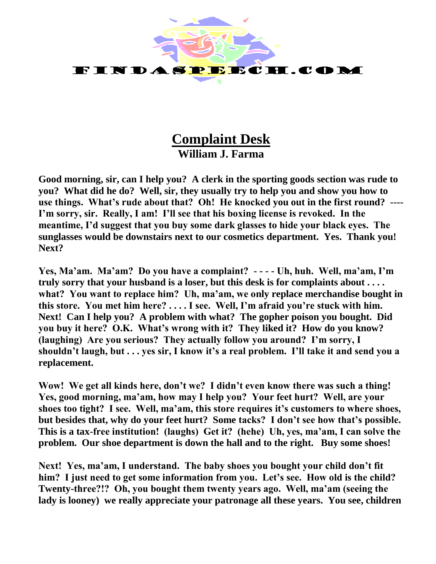

## **Complaint Desk William J. Farma**

**Good morning, sir, can I help you? A clerk in the sporting goods section was rude to you? What did he do? Well, sir, they usually try to help you and show you how to use things. What's rude about that? Oh! He knocked you out in the first round? ---- I'm sorry, sir. Really, I am! I'll see that his boxing license is revoked. In the meantime, I'd suggest that you buy some dark glasses to hide your black eyes. The sunglasses would be downstairs next to our cosmetics department. Yes. Thank you! Next?**

**Yes, Ma'am. Ma'am? Do you have a complaint? - - - - Uh, huh. Well, ma'am, I'm truly sorry that your husband is a loser, but this desk is for complaints about . . . . what? You want to replace him? Uh, ma'am, we only replace merchandise bought in this store. You met him here? . . . . I see. Well, I'm afraid you're stuck with him. Next! Can I help you? A problem with what? The gopher poison you bought. Did you buy it here? O.K. What's wrong with it? They liked it? How do you know? (laughing) Are you serious? They actually follow you around? I'm sorry, I shouldn't laugh, but . . . yes sir, I know it's a real problem. I'll take it and send you a replacement.**

**Wow! We get all kinds here, don't we? I didn't even know there was such a thing! Yes, good morning, ma'am, how may I help you? Your feet hurt? Well, are your shoes too tight? I see. Well, ma'am, this store requires it's customers to where shoes, but besides that, why do your feet hurt? Some tacks? I don't see how that's possible. This is a tax-free institution! (laughs) Get it? (hehe) Uh, yes, ma'am, I can solve the problem. Our shoe department is down the hall and to the right. Buy some shoes!**

**Next! Yes, ma'am, I understand. The baby shoes you bought your child don't fit him? I just need to get some information from you. Let's see. How old is the child? Twenty-three?!? Oh, you bought them twenty years ago. Well, ma'am (seeing the lady is looney) we really appreciate your patronage all these years. You see, children**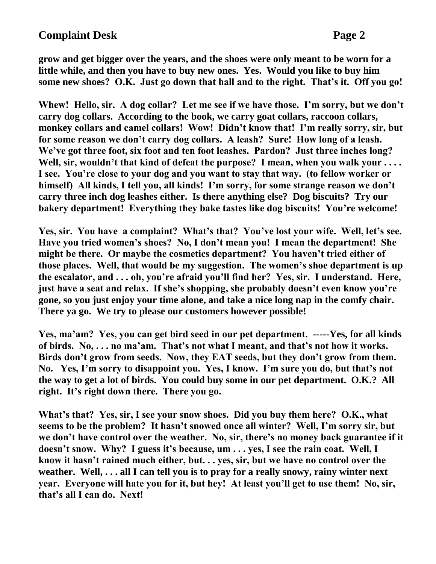**grow and get bigger over the years, and the shoes were only meant to be worn for a little while, and then you have to buy new ones. Yes. Would you like to buy him some new shoes? O.K. Just go down that hall and to the right. That's it. Off you go!** 

**Whew! Hello, sir. A dog collar? Let me see if we have those. I'm sorry, but we don't carry dog collars. According to the book, we carry goat collars, raccoon collars, monkey collars and camel collars! Wow! Didn't know that! I'm really sorry, sir, but for some reason we don't carry dog collars. A leash? Sure! How long of a leash. We've got three foot, six foot and ten foot leashes. Pardon? Just three inches long?**  Well, sir, wouldn't that kind of defeat the purpose? I mean, when you walk your .... **I see. You're close to your dog and you want to stay that way. (to fellow worker or himself) All kinds, I tell you, all kinds! I'm sorry, for some strange reason we don't carry three inch dog leashes either. Is there anything else? Dog biscuits? Try our bakery department! Everything they bake tastes like dog biscuits! You're welcome!**

**Yes, sir. You have a complaint? What's that? You've lost your wife. Well, let's see. Have you tried women's shoes? No, I don't mean you! I mean the department! She might be there. Or maybe the cosmetics department? You haven't tried either of those places. Well, that would be my suggestion. The women's shoe department is up the escalator, and . . . oh, you're afraid you'll find her? Yes, sir. I understand. Here, just have a seat and relax. If she's shopping, she probably doesn't even know you're gone, so you just enjoy your time alone, and take a nice long nap in the comfy chair. There ya go. We try to please our customers however possible!**

**Yes, ma'am? Yes, you can get bird seed in our pet department. -----Yes, for all kinds of birds. No, . . . no ma'am. That's not what I meant, and that's not how it works. Birds don't grow from seeds. Now, they EAT seeds, but they don't grow from them. No. Yes, I'm sorry to disappoint you. Yes, I know. I'm sure you do, but that's not the way to get a lot of birds. You could buy some in our pet department. O.K.? All right. It's right down there. There you go.**

**What's that? Yes, sir, I see your snow shoes. Did you buy them here? O.K., what seems to be the problem? It hasn't snowed once all winter? Well, I'm sorry sir, but we don't have control over the weather. No, sir, there's no money back guarantee if it doesn't snow. Why? I guess it's because, um . . . yes, I see the rain coat. Well, I know it hasn't rained much either, but. . . yes, sir, but we have no control over the weather. Well, . . . all I can tell you is to pray for a really snowy, rainy winter next year. Everyone will hate you for it, but hey! At least you'll get to use them! No, sir, that's all I can do. Next!**